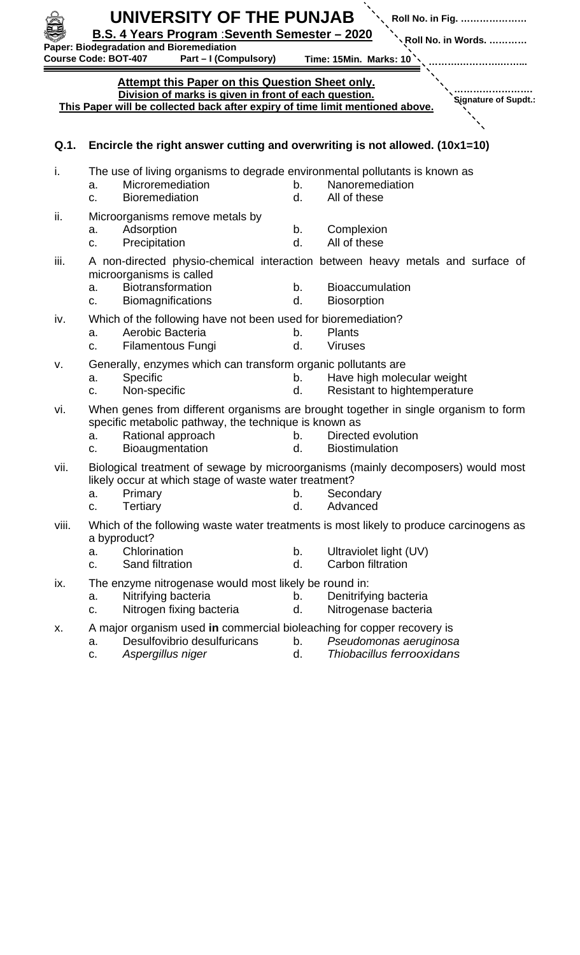| UNIVERSITY OF THE PUNJAB<br>Roll No. in Fig.<br><b>B.S. 4 Years Program : Seventh Semester - 2020</b><br><b>Roll No. in Words. </b><br>Paper: Biodegradation and Bioremediation<br>Part - I (Compulsory)<br><b>Course Code: BOT-407</b><br>Time: 15Min. Marks: 10 |                                                                                                                                      |          |                                                                                                                                       |
|-------------------------------------------------------------------------------------------------------------------------------------------------------------------------------------------------------------------------------------------------------------------|--------------------------------------------------------------------------------------------------------------------------------------|----------|---------------------------------------------------------------------------------------------------------------------------------------|
| <b>Attempt this Paper on this Question Sheet only.</b><br>Division of marks is given in front of each question.<br>Signature of Supdt.:<br>This Paper will be collected back after expiry of time limit mentioned above.                                          |                                                                                                                                      |          |                                                                                                                                       |
| Q.1.                                                                                                                                                                                                                                                              | Encircle the right answer cutting and overwriting is not allowed. (10x1=10)                                                          |          |                                                                                                                                       |
| i.                                                                                                                                                                                                                                                                | The use of living organisms to degrade environmental pollutants is known as<br>Microremediation<br>a.<br><b>Bioremediation</b><br>c. | b.<br>d. | Nanoremediation<br>All of these                                                                                                       |
| ii.                                                                                                                                                                                                                                                               | Microorganisms remove metals by<br>Adsorption<br>a.<br>Precipitation<br>c.                                                           | b.<br>d. | Complexion<br>All of these                                                                                                            |
| iii.                                                                                                                                                                                                                                                              | microorganisms is called<br>Biotransformation<br>a.<br>Biomagnifications<br>C.                                                       | b.<br>d. | A non-directed physio-chemical interaction between heavy metals and surface of<br><b>Bioaccumulation</b><br><b>Biosorption</b>        |
| iv.                                                                                                                                                                                                                                                               | Which of the following have not been used for bioremediation?<br>Aerobic Bacteria<br>a.<br><b>Filamentous Fungi</b><br>c.            | b.<br>d. | <b>Plants</b><br><b>Viruses</b>                                                                                                       |
| V.                                                                                                                                                                                                                                                                | Generally, enzymes which can transform organic pollutants are<br>Specific<br>a.<br>Non-specific<br>c.                                | b.<br>d. | Have high molecular weight<br>Resistant to hightemperature                                                                            |
| vi.                                                                                                                                                                                                                                                               | specific metabolic pathway, the technique is known as<br>Rational approach<br>a.<br>Bioaugmentation<br>C.                            | b.<br>d. | When genes from different organisms are brought together in single organism to form<br>Directed evolution<br><b>Biostimulation</b>    |
| vii.                                                                                                                                                                                                                                                              | likely occur at which stage of waste water treatment?<br>Primary<br>a.<br>Tertiary<br>C.                                             | b.<br>d. | Biological treatment of sewage by microorganisms (mainly decomposers) would most<br>Secondary<br>Advanced                             |
| viii.                                                                                                                                                                                                                                                             | a byproduct?<br>Chlorination<br>a.<br>Sand filtration<br>c.                                                                          | b.<br>d. | Which of the following waste water treatments is most likely to produce carcinogens as<br>Ultraviolet light (UV)<br>Carbon filtration |
| ix.                                                                                                                                                                                                                                                               | The enzyme nitrogenase would most likely be round in:<br>Nitrifying bacteria<br>a.<br>Nitrogen fixing bacteria<br>c.                 | b.<br>d. | Denitrifying bacteria<br>Nitrogenase bacteria                                                                                         |
| Х.                                                                                                                                                                                                                                                                | A major organism used in commercial bioleaching for copper recovery is<br>Desulfovibrio desulfuricans<br>a.                          | b.       | Pseudomonas aeruginosa                                                                                                                |

- 
- 
- c. *Aspergillus niger* d. *Thiobacillus ferrooxidans*